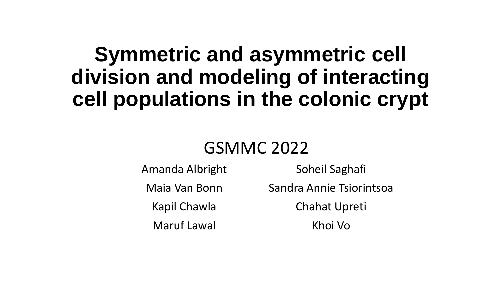## **Symmetric and asymmetric cell division and modeling of interacting cell populations in the colonic crypt**

### GSMMC 2022

Amanda Albright Maia Van Bonn Kapil Chawla Maruf Lawal

Soheil Saghafi Sandra Annie Tsiorintsoa Chahat Upreti Khoi Vo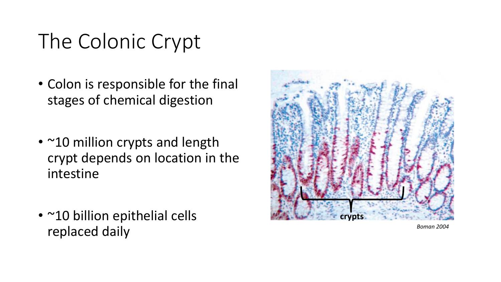# The Colonic Crypt

- Colon is responsible for the final stages of chemical digestion
- ~10 million crypts and length crypt depends on location in the intestine
- ~10 billion epithelial cells replaced daily



*Boman 2004*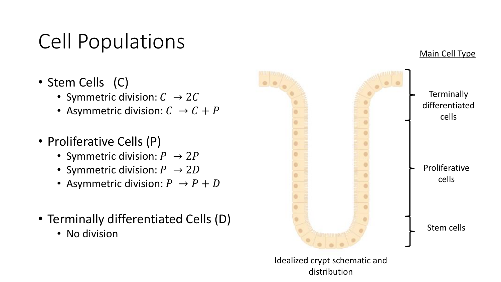# Cell Populations

- Stem Cells (C)
	- Symmetric division:  $C \rightarrow 2C$
	- Asymmetric division:  $C \rightarrow C + P$
- Proliferative Cells (P)
	- Symmetric division:  $P \rightarrow 2P$
	- Symmetric division:  $P \rightarrow 2D$
	- Asymmetric division:  $P \rightarrow P + D$
- Terminally differentiated Cells (D)
	- No division



Main Cell Type

Idealized crypt schematic and distribution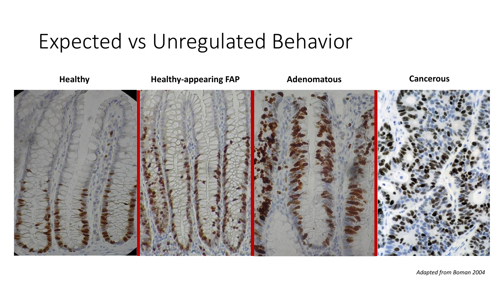### Expected vs Unregulated Behavior

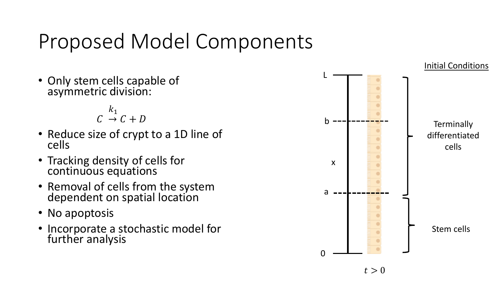# Proposed Model Components

• Only stem cells capable of asymmetric division:

> $C \rightarrow C + D$  $k_1$

- Reduce size of crypt to a 1D line of cells
- Tracking density of cells for continuous equations
- Removal of cells from the system dependent on spatial location
- No apoptosis
- Incorporate a stochastic model for further analysis

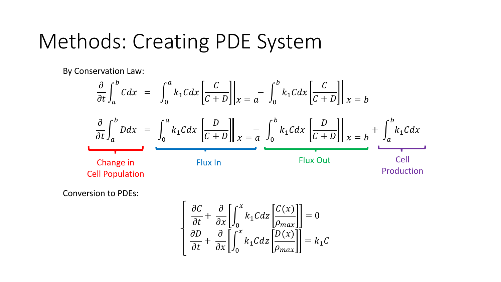### Methods: Creating PDE System

By Conservation Law:

$$
\frac{\partial}{\partial t} \int_{a}^{b} C dx = \int_{0}^{a} k_{1} C dx \left[ \frac{C}{C+D} \right] \Big|_{x=a} - \int_{0}^{b} k_{1} C dx \left[ \frac{C}{C+D} \right] \Big|_{x=b}
$$
\n
$$
\frac{\partial}{\partial t} \int_{a}^{b} D dx = \int_{0}^{a} k_{1} C dx \left[ \frac{D}{C+D} \right] \Big|_{x=a} - \int_{0}^{b} k_{1} C dx \left[ \frac{D}{C+D} \right] \Big|_{x=b} + \int_{a}^{b} k_{1} C dx
$$
\nChange in  
\nCelIP population\nFlux In  
\nProduction

Conversion to PDEs:

$$
\begin{bmatrix}\n\frac{\partial C}{\partial t} + \frac{\partial}{\partial x} \left[ \int_0^x k_1 C dz \left[ \frac{C(x)}{\rho_{max}} \right] \right] = 0 \\
\frac{\partial D}{\partial t} + \frac{\partial}{\partial x} \left[ \int_0^x k_1 C dz \left[ \frac{D(x)}{\rho_{max}} \right] \right] = k_1 C\n\end{bmatrix}
$$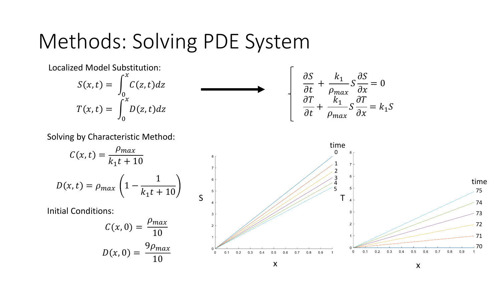### Methods: Solving PDE System

#### $S(x, t) =$ 0  $\mathcal{X}$  $C(z,t)dz$  $T(x, t) =$ 0  $\mathcal{X}$  $D(z,t)dz$ Localized Model Substitution:

$$
\frac{\partial S}{\partial t} + \frac{k_1}{\rho_{max}} S \frac{\partial S}{\partial x} = 0
$$

$$
\frac{\partial T}{\partial t} + \frac{k_1}{\rho_{max}} S \frac{\partial T}{\partial x} = k_1 S
$$

Solving by Characteristic Method:

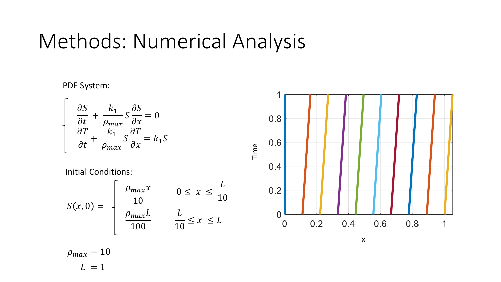### Methods: Numerical Analysis

PDE System:

$$
\begin{cases}\n\frac{\partial S}{\partial t} + \frac{k_1}{\rho_{max}} S \frac{\partial S}{\partial x} = 0 \\
\frac{\partial T}{\partial t} + \frac{k_1}{\rho_{max}} S \frac{\partial T}{\partial x} = k_1 S\n\end{cases}
$$

Initial Conditions:

$$
S(x, 0) = \begin{cases} \frac{\rho_{max} x}{10} & 0 \leq x \leq \frac{L}{10} \\ \frac{\rho_{max} L}{100} & \frac{L}{10} \leq x \leq L \end{cases}
$$



x

 $\rho_{max} = 10$  $L = 1$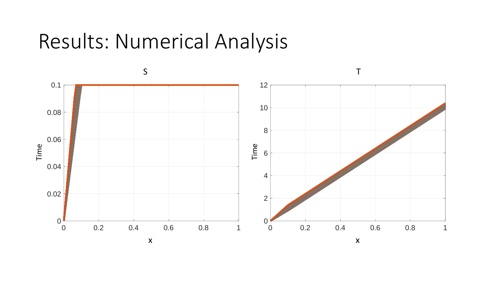### Results: Numerical Analysis

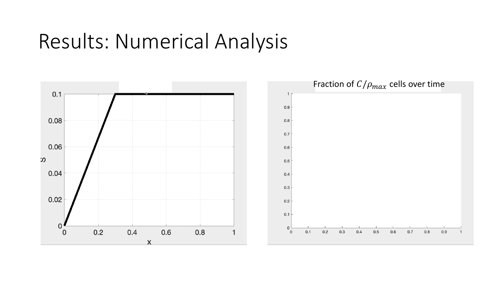### Results: Numerical Analysis

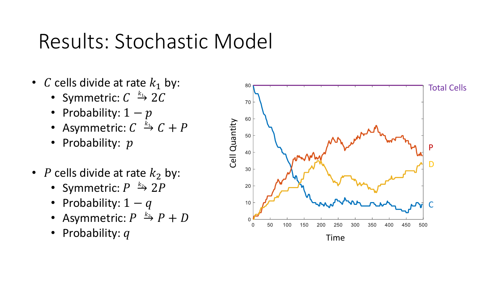## Results: Stochastic Model

- C cells divide at rate  $k_1$  by:
	- Symmetric:  $C \stackrel{k_1}{\rightarrow} 2C$
	- Probability:  $1-p$
	- Asymmetric:  $C \stackrel{k_1}{\rightarrow} C + P$
	- Probability:  $p$
- P cells divide at rate  $k_2$  by:
	- Symmetric:  $P \stackrel{k_2}{\rightarrow} 2P$
	- Probability:  $1 q$
	- Asymmetric:  $P \stackrel{k_2}{\rightarrow} P + D$
	- Probability:  $q$

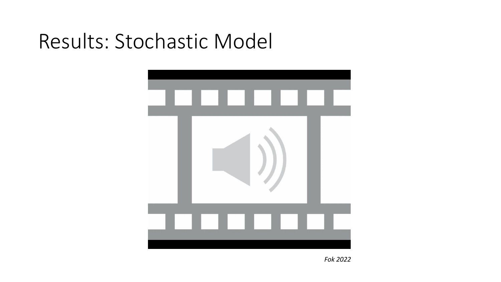## Results: Stochastic Model



*Fok 2022*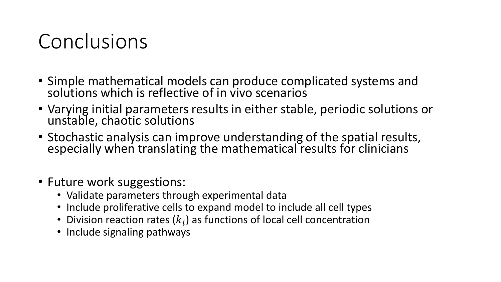## Conclusions

- Simple mathematical models can produce complicated systems and solutions which is reflective of in vivo scenarios
- Varying initial parameters results in either stable, periodic solutions or unstable, chaotic solutions
- Stochastic analysis can improve understanding of the spatial results, especially when translating the mathematical results for clinicians
- Future work suggestions:
	- Validate parameters through experimental data
	- Include proliferative cells to expand model to include all cell types
	- Division reaction rates  $(k_i)$  as functions of local cell concentration
	- Include signaling pathways